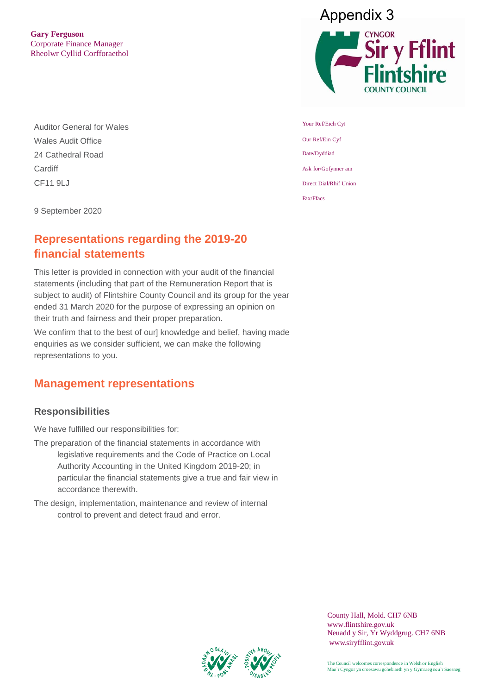**Gary Ferguson** Corporate Finance Manager Rheolwr Cyllid Corfforaethol

Auditor General for Wales Wales Audit Office 24 Cathedral Road **Cardiff** CF11 9LJ



# **Representations regarding the 2019-20 financial statements**

This letter is provided in connection with your audit of the financial statements (including that part of the Remuneration Report that is subject to audit) of Flintshire County Council and its group for the year ended 31 March 2020 for the purpose of expressing an opinion on their truth and fairness and their proper preparation.

We confirm that to the best of our] knowledge and belief, having made enquiries as we consider sufficient, we can make the following representations to you.

## **Management representations**

#### **Responsibilities**

We have fulfilled our responsibilities for:

- The preparation of the financial statements in accordance with legislative requirements and the Code of Practice on Local Authority Accounting in the United Kingdom 2019-20; in particular the financial statements give a true and fair view in accordance therewith.
- The design, implementation, maintenance and review of internal control to prevent and detect fraud and error.





Your Ref/Eich Cyf Our Ref/Ein Cyf Date/Dyddiad Ask for/Gofynner am Direct Dial/Rhif Union Fax/Ffacs

> County Hall, Mold. CH7 6NB www.flintshire.gov.uk Neuadd y Sir, Yr Wyddgrug. CH7 6NB [www.siryfflint.gov.uk](http://www.siryfflint.gov.uk/)



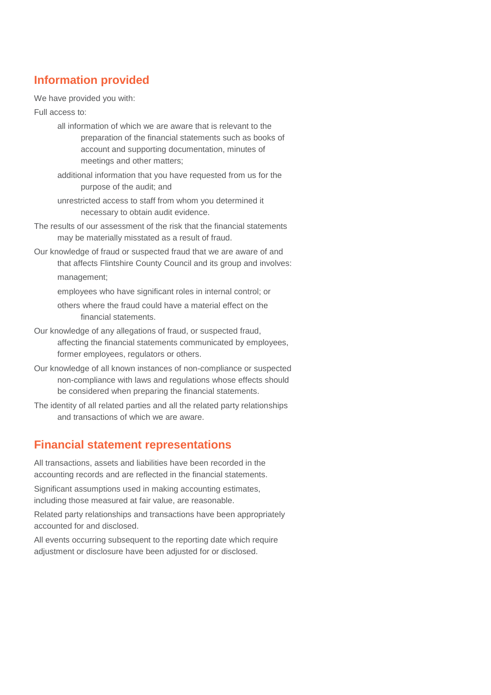## **Information provided**

We have provided you with:

Full access to:

- all information of which we are aware that is relevant to the preparation of the financial statements such as books of account and supporting documentation, minutes of meetings and other matters;
- additional information that you have requested from us for the purpose of the audit; and
- unrestricted access to staff from whom you determined it necessary to obtain audit evidence.
- The results of our assessment of the risk that the financial statements may be materially misstated as a result of fraud.
- Our knowledge of fraud or suspected fraud that we are aware of and that affects Flintshire County Council and its group and involves: management;

employees who have significant roles in internal control; or

others where the fraud could have a material effect on the financial statements.

- Our knowledge of any allegations of fraud, or suspected fraud, affecting the financial statements communicated by employees, former employees, regulators or others.
- Our knowledge of all known instances of non-compliance or suspected non-compliance with laws and regulations whose effects should be considered when preparing the financial statements.
- The identity of all related parties and all the related party relationships and transactions of which we are aware.

### **Financial statement representations**

All transactions, assets and liabilities have been recorded in the accounting records and are reflected in the financial statements.

Significant assumptions used in making accounting estimates, including those measured at fair value, are reasonable.

Related party relationships and transactions have been appropriately accounted for and disclosed.

All events occurring subsequent to the reporting date which require adjustment or disclosure have been adjusted for or disclosed.